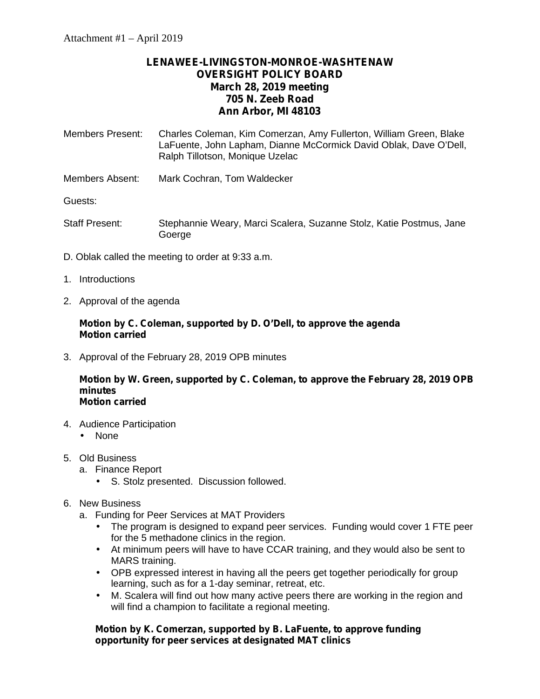# **LENAWEE-LIVINGSTON-MONROE-WASHTENAW OVERSIGHT POLICY BOARD March 28, 2019 meeting 705 N. Zeeb Road Ann Arbor, MI 48103**

- Members Present: Charles Coleman, Kim Comerzan, Amy Fullerton, William Green, Blake LaFuente, John Lapham, Dianne McCormick David Oblak, Dave O'Dell, Ralph Tillotson, Monique Uzelac
- Members Absent: Mark Cochran, Tom Waldecker

Guests:

- Staff Present: Stephannie Weary, Marci Scalera, Suzanne Stolz, Katie Postmus, Jane Goerge
- D. Oblak called the meeting to order at 9:33 a.m.
- 1. Introductions
- 2. Approval of the agenda

## **Motion by C. Coleman, supported by D. O'Dell, to approve the agenda Motion carried**

3. Approval of the February 28, 2019 OPB minutes

**Motion by W. Green, supported by C. Coleman, to approve the February 28, 2019 OPB minutes Motion carried**

- 4. Audience Participation l None
- 5. Old Business
	- a. Finance Report
		- S. Stolz presented. Discussion followed.

## 6. New Business

- a. Funding for Peer Services at MAT Providers
	- The program is designed to expand peer services. Funding would cover 1 FTE peer for the 5 methadone clinics in the region.
	- At minimum peers will have to have CCAR training, and they would also be sent to MARS training.
	- OPB expressed interest in having all the peers get together periodically for group learning, such as for a 1-day seminar, retreat, etc.
	- M. Scalera will find out how many active peers there are working in the region and will find a champion to facilitate a regional meeting.

## **Motion by K. Comerzan, supported by B. LaFuente, to approve funding opportunity for peer services at designated MAT clinics**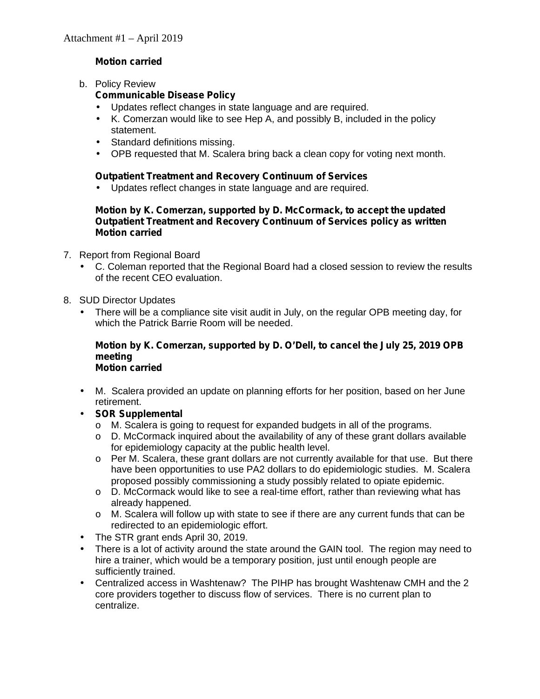# **Motion carried**

b. Policy Review

## **Communicable Disease Policy**

- Updates reflect changes in state language and are required.
- K. Comerzan would like to see Hep A, and possibly B, included in the policy statement.
- Standard definitions missing.
- OPB requested that M. Scalera bring back a clean copy for voting next month.

## **Outpatient Treatment and Recovery Continuum of Services**

Updates reflect changes in state language and are required.

#### **Motion by K. Comerzan, supported by D. McCormack, to accept the updated Outpatient Treatment and Recovery Continuum of Services policy as written Motion carried**

- 7. Report from Regional Board
	- C. Coleman reported that the Regional Board had a closed session to review the results of the recent CEO evaluation.
- 8. SUD Director Updates
	- There will be a compliance site visit audit in July, on the regular OPB meeting day, for which the Patrick Barrie Room will be needed.

#### **Motion by K. Comerzan, supported by D. O'Dell, to cancel the July 25, 2019 OPB meeting Motion carried**

- M. Scalera provided an update on planning efforts for her position, based on her June retirement.
- **SOR Supplemental**
	- o M. Scalera is going to request for expanded budgets in all of the programs.
	- $\circ$  D. McCormack inquired about the availability of any of these grant dollars available for epidemiology capacity at the public health level.
	- $\circ$  Per M. Scalera, these grant dollars are not currently available for that use. But there have been opportunities to use PA2 dollars to do epidemiologic studies. M. Scalera proposed possibly commissioning a study possibly related to opiate epidemic.
	- o D. McCormack would like to see a real-time effort, rather than reviewing what has already happened.
	- o M. Scalera will follow up with state to see if there are any current funds that can be redirected to an epidemiologic effort.
	- The STR grant ends April 30, 2019.
- There is a lot of activity around the state around the GAIN tool. The region may need to hire a trainer, which would be a temporary position, just until enough people are sufficiently trained.
- Centralized access in Washtenaw? The PIHP has brought Washtenaw CMH and the 2 core providers together to discuss flow of services. There is no current plan to centralize.